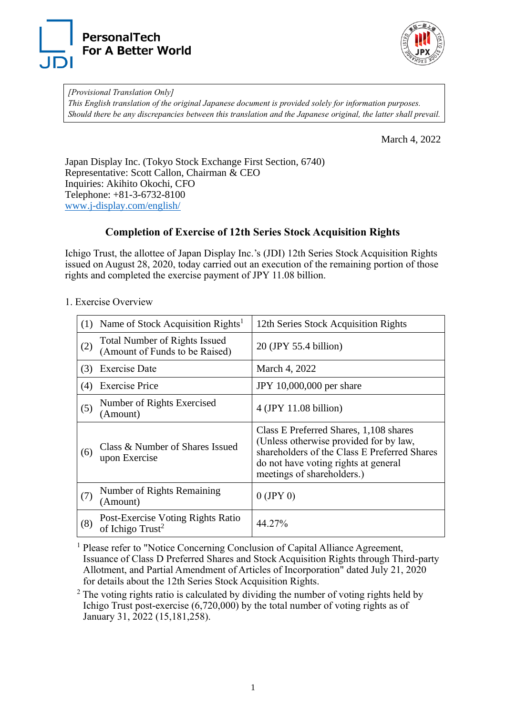



*[Provisional Translation Only] This English translation of the original Japanese document is provided solely for information purposes. Should there be any discrepancies between this translation and the Japanese original, the latter shall prevail.*

March 4, 2022

Japan Display Inc. (Tokyo Stock Exchange First Section, 6740) Representative: Scott Callon, Chairman & CEO Inquiries: Akihito Okochi, CFO Telephone: +81-3-6732-8100 [www.j-display.com/english/](http://www.j-display.com/english/)

## **Completion of Exercise of 12th Series Stock Acquisition Rights**

Ichigo Trust, the allottee of Japan Display Inc.'s (JDI) 12th Series Stock Acquisition Rights issued on August 28, 2020, today carried out an execution of the remaining portion of those rights and completed the exercise payment of JPY 11.08 billion.

|     | (1) Name of Stock Acquisition Rights <sup>1</sup>                      | 12th Series Stock Acquisition Rights                                                                                                                                                                   |
|-----|------------------------------------------------------------------------|--------------------------------------------------------------------------------------------------------------------------------------------------------------------------------------------------------|
| (2) | <b>Total Number of Rights Issued</b><br>(Amount of Funds to be Raised) | 20 (JPY 55.4 billion)                                                                                                                                                                                  |
| (3) | <b>Exercise Date</b>                                                   | March 4, 2022                                                                                                                                                                                          |
| (4) | <b>Exercise Price</b>                                                  | JPY 10,000,000 per share                                                                                                                                                                               |
| (5) | Number of Rights Exercised<br>(Amount)                                 | $4$ (JPY 11.08 billion)                                                                                                                                                                                |
| (6) | Class & Number of Shares Issued<br>upon Exercise                       | Class E Preferred Shares, 1,108 shares<br>(Unless otherwise provided for by law,<br>shareholders of the Class E Preferred Shares<br>do not have voting rights at general<br>meetings of shareholders.) |
| (7) | Number of Rights Remaining<br>(Amount)                                 | $0$ (JPY 0)                                                                                                                                                                                            |
| (8) | Post-Exercise Voting Rights Ratio<br>of Ichigo Trust <sup>2</sup>      | 44.27%                                                                                                                                                                                                 |

1. Exercise Overview

<sup>1</sup> Please refer to "Notice Concerning Conclusion of Capital Alliance Agreement, Issuance of Class D Preferred Shares and Stock Acquisition Rights through Third-party Allotment, and Partial Amendment of Articles of Incorporation" dated July 21, 2020 for details about the 12th Series Stock Acquisition Rights.

 $2$  The voting rights ratio is calculated by dividing the number of voting rights held by Ichigo Trust post-exercise (6,720,000) by the total number of voting rights as of January 31, 2022 (15,181,258).